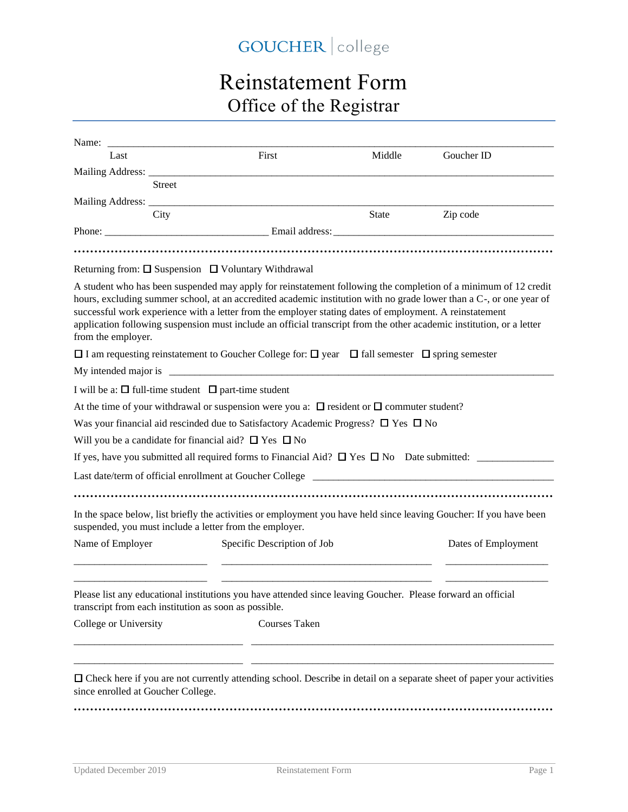## GOUCHER | college

## Reinstatement Form Office of the Registrar

| Last                                                                                                                                                                                                                                                                                                                                                                                                                                                                                             | First                       | Middle | Goucher ID          |
|--------------------------------------------------------------------------------------------------------------------------------------------------------------------------------------------------------------------------------------------------------------------------------------------------------------------------------------------------------------------------------------------------------------------------------------------------------------------------------------------------|-----------------------------|--------|---------------------|
| Mailing Address: ____________                                                                                                                                                                                                                                                                                                                                                                                                                                                                    |                             |        |                     |
| <b>Street</b>                                                                                                                                                                                                                                                                                                                                                                                                                                                                                    |                             |        |                     |
| Mailing Address: ____<br>City                                                                                                                                                                                                                                                                                                                                                                                                                                                                    |                             | State  | Zip code            |
|                                                                                                                                                                                                                                                                                                                                                                                                                                                                                                  |                             |        |                     |
|                                                                                                                                                                                                                                                                                                                                                                                                                                                                                                  |                             |        |                     |
|                                                                                                                                                                                                                                                                                                                                                                                                                                                                                                  |                             |        |                     |
| Returning from: $\square$ Suspension $\square$ Voluntary Withdrawal                                                                                                                                                                                                                                                                                                                                                                                                                              |                             |        |                     |
| A student who has been suspended may apply for reinstatement following the completion of a minimum of 12 credit<br>hours, excluding summer school, at an accredited academic institution with no grade lower than a C-, or one year of<br>successful work experience with a letter from the employer stating dates of employment. A reinstatement<br>application following suspension must include an official transcript from the other academic institution, or a letter<br>from the employer. |                             |        |                     |
| $\Box$ I am requesting reinstatement to Goucher College for: $\Box$ year $\Box$ fall semester $\Box$ spring semester                                                                                                                                                                                                                                                                                                                                                                             |                             |        |                     |
| My intended major is                                                                                                                                                                                                                                                                                                                                                                                                                                                                             |                             |        |                     |
| I will be a: $\square$ full-time student $\square$ part-time student                                                                                                                                                                                                                                                                                                                                                                                                                             |                             |        |                     |
| At the time of your withdrawal or suspension were you a: $\Box$ resident or $\Box$ commuter student?                                                                                                                                                                                                                                                                                                                                                                                             |                             |        |                     |
| Was your financial aid rescinded due to Satisfactory Academic Progress? $\Box$ Yes $\Box$ No                                                                                                                                                                                                                                                                                                                                                                                                     |                             |        |                     |
| Will you be a candidate for financial aid? $\Box$ Yes $\Box$ No                                                                                                                                                                                                                                                                                                                                                                                                                                  |                             |        |                     |
|                                                                                                                                                                                                                                                                                                                                                                                                                                                                                                  |                             |        |                     |
|                                                                                                                                                                                                                                                                                                                                                                                                                                                                                                  |                             |        |                     |
|                                                                                                                                                                                                                                                                                                                                                                                                                                                                                                  |                             |        |                     |
| In the space below, list briefly the activities or employment you have held since leaving Goucher: If you have been<br>suspended, you must include a letter from the employer.                                                                                                                                                                                                                                                                                                                   |                             |        |                     |
| Name of Employer                                                                                                                                                                                                                                                                                                                                                                                                                                                                                 | Specific Description of Job |        | Dates of Employment |
| Please list any educational institutions you have attended since leaving Goucher. Please forward an official<br>transcript from each institution as soon as possible.                                                                                                                                                                                                                                                                                                                            |                             |        |                     |
| College or University                                                                                                                                                                                                                                                                                                                                                                                                                                                                            | <b>Courses Taken</b>        |        |                     |
|                                                                                                                                                                                                                                                                                                                                                                                                                                                                                                  |                             |        |                     |
|                                                                                                                                                                                                                                                                                                                                                                                                                                                                                                  |                             |        |                     |
|                                                                                                                                                                                                                                                                                                                                                                                                                                                                                                  |                             |        |                     |
| □ Check here if you are not currently attending school. Describe in detail on a separate sheet of paper your activities<br>since enrolled at Goucher College.                                                                                                                                                                                                                                                                                                                                    |                             |        |                     |

**·····················································································································**